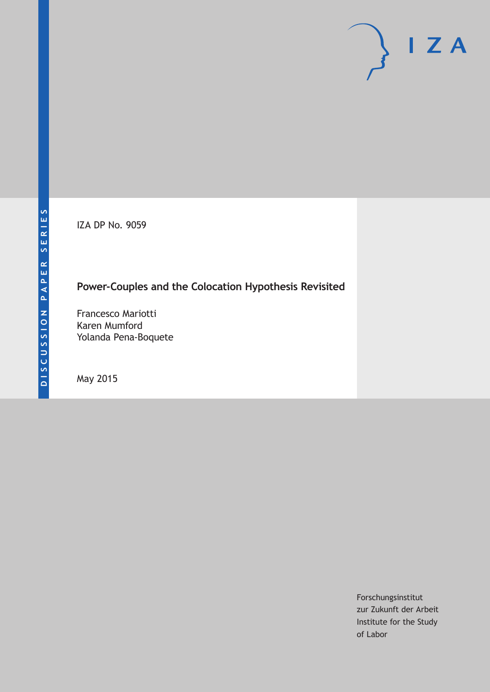IZA DP No. 9059

# **Power-Couples and the Colocation Hypothesis Revisited**

Francesco Mariotti Karen Mumford Yolanda Pena-Boquete

May 2015

Forschungsinstitut zur Zukunft der Arbeit Institute for the Study of Labor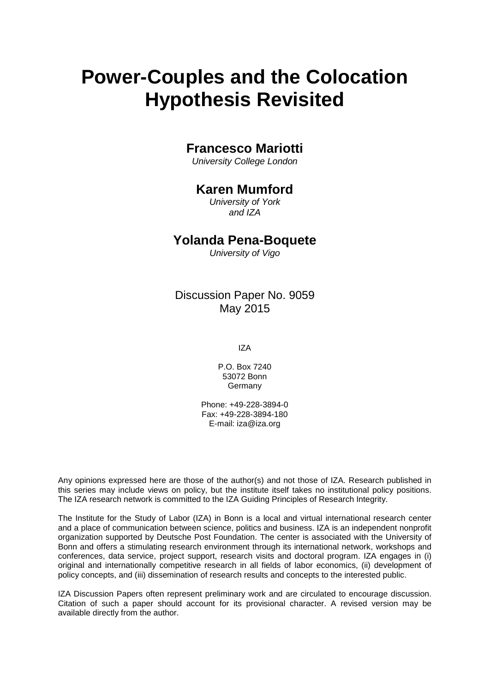# **Power-Couples and the Colocation Hypothesis Revisited**

# **Francesco Mariotti**

*University College London*

# **Karen Mumford**

*University of York and IZA*

## **Yolanda Pena-Boquete**

*University of Vigo*

# Discussion Paper No. 9059 May 2015

IZA

P.O. Box 7240 53072 Bonn **Germany** 

Phone: +49-228-3894-0 Fax: +49-228-3894-180 E-mail: iza@iza.org

Any opinions expressed here are those of the author(s) and not those of IZA. Research published in this series may include views on policy, but the institute itself takes no institutional policy positions. The IZA research network is committed to the IZA Guiding Principles of Research Integrity.

The Institute for the Study of Labor (IZA) in Bonn is a local and virtual international research center and a place of communication between science, politics and business. IZA is an independent nonprofit organization supported by Deutsche Post Foundation. The center is associated with the University of Bonn and offers a stimulating research environment through its international network, workshops and conferences, data service, project support, research visits and doctoral program. IZA engages in (i) original and internationally competitive research in all fields of labor economics, (ii) development of policy concepts, and (iii) dissemination of research results and concepts to the interested public.

<span id="page-1-0"></span>IZA Discussion Papers often represent preliminary work and are circulated to encourage discussion. Citation of such a paper should account for its provisional character. A revised version may be available directly from the author.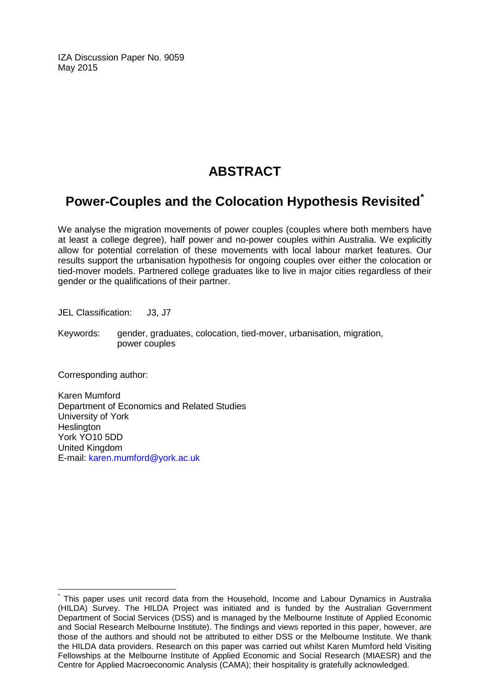IZA Discussion Paper No. 9059 May 2015

# **ABSTRACT**

# **Power-Couples and the Colocation Hypothesis Revisited[\\*](#page-1-0)**

We analyse the migration movements of power couples (couples where both members have at least a college degree), half power and no-power couples within Australia. We explicitly allow for potential correlation of these movements with local labour market features. Our results support the urbanisation hypothesis for ongoing couples over either the colocation or tied-mover models. Partnered college graduates like to live in major cities regardless of their gender or the qualifications of their partner.

JEL Classification: J3, J7

Keywords: gender, graduates, colocation, tied-mover, urbanisation, migration, power couples

Corresponding author:

Karen Mumford Department of Economics and Related Studies University of York **Heslington** York YO10 5DD United Kingdom E-mail: [karen.mumford@york.ac.uk](mailto:karen.mumford@york.ac.uk)

This paper uses unit record data from the Household, Income and Labour Dynamics in Australia (HILDA) Survey. The HILDA Project was initiated and is funded by the Australian Government Department of Social Services (DSS) and is managed by the Melbourne Institute of Applied Economic and Social Research Melbourne Institute). The findings and views reported in this paper, however, are those of the authors and should not be attributed to either DSS or the Melbourne Institute. We thank the HILDA data providers. Research on this paper was carried out whilst Karen Mumford held Visiting Fellowships at the Melbourne Institute of Applied Economic and Social Research (MIAESR) and the Centre for Applied Macroeconomic Analysis (CAMA); their hospitality is gratefully acknowledged.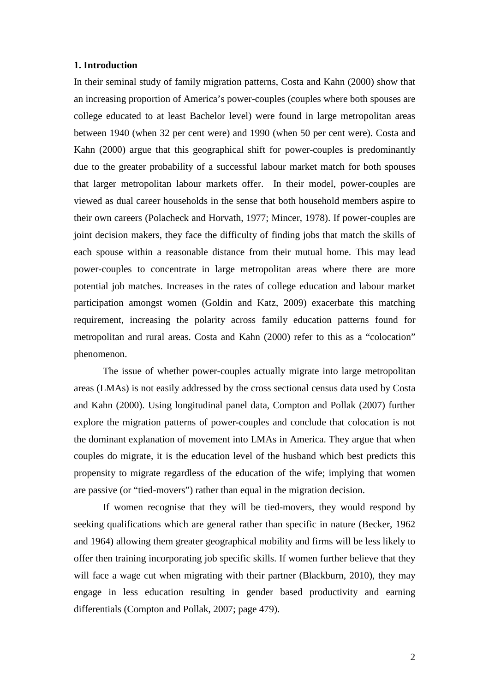### **1. Introduction**

In their seminal study of family migration patterns, Costa and Kahn (2000) show that an increasing proportion of America's power-couples (couples where both spouses are college educated to at least Bachelor level) were found in large metropolitan areas between 1940 (when 32 per cent were) and 1990 (when 50 per cent were). Costa and Kahn (2000) argue that this geographical shift for power-couples is predominantly due to the greater probability of a successful labour market match for both spouses that larger metropolitan labour markets offer. In their model, power-couples are viewed as dual career households in the sense that both household members aspire to their own careers (Polacheck and Horvath, 1977; Mincer, 1978). If power-couples are joint decision makers, they face the difficulty of finding jobs that match the skills of each spouse within a reasonable distance from their mutual home. This may lead power-couples to concentrate in large metropolitan areas where there are more potential job matches. Increases in the rates of college education and labour market participation amongst women (Goldin and Katz, 2009) exacerbate this matching requirement, increasing the polarity across family education patterns found for metropolitan and rural areas. Costa and Kahn (2000) refer to this as a "colocation" phenomenon.

The issue of whether power-couples actually migrate into large metropolitan areas (LMAs) is not easily addressed by the cross sectional census data used by Costa and Kahn (2000). Using longitudinal panel data, Compton and Pollak (2007) further explore the migration patterns of power-couples and conclude that colocation is not the dominant explanation of movement into LMAs in America. They argue that when couples do migrate, it is the education level of the husband which best predicts this propensity to migrate regardless of the education of the wife; implying that women are passive (or "tied-movers") rather than equal in the migration decision.

If women recognise that they will be tied-movers, they would respond by seeking qualifications which are general rather than specific in nature (Becker, 1962 and 1964) allowing them greater geographical mobility and firms will be less likely to offer then training incorporating job specific skills. If women further believe that they will face a wage cut when migrating with their partner (Blackburn, 2010), they may engage in less education resulting in gender based productivity and earning differentials (Compton and Pollak, 2007; page 479).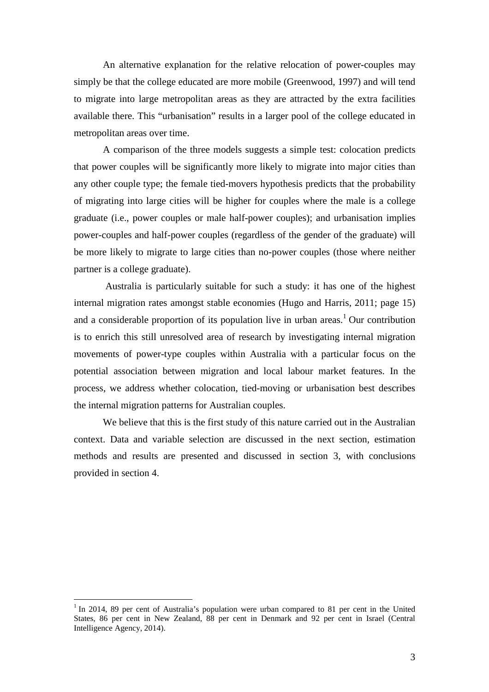An alternative explanation for the relative relocation of power-couples may simply be that the college educated are more mobile (Greenwood, 1997) and will tend to migrate into large metropolitan areas as they are attracted by the extra facilities available there. This "urbanisation" results in a larger pool of the college educated in metropolitan areas over time.

A comparison of the three models suggests a simple test: colocation predicts that power couples will be significantly more likely to migrate into major cities than any other couple type; the female tied-movers hypothesis predicts that the probability of migrating into large cities will be higher for couples where the male is a college graduate (i.e., power couples or male half-power couples); and urbanisation implies power-couples and half-power couples (regardless of the gender of the graduate) will be more likely to migrate to large cities than no-power couples (those where neither partner is a college graduate).

Australia is particularly suitable for such a study: it has one of the highest internal migration rates amongst stable economies (Hugo and Harris, 2011; page 15) and a considerable proportion of its population live in urban areas.<sup>[1](#page-4-0)</sup> Our contribution is to enrich this still unresolved area of research by investigating internal migration movements of power-type couples within Australia with a particular focus on the potential association between migration and local labour market features. In the process, we address whether colocation, tied-moving or urbanisation best describes the internal migration patterns for Australian couples.

We believe that this is the first study of this nature carried out in the Australian context. Data and variable selection are discussed in the next section, estimation methods and results are presented and discussed in section 3, with conclusions provided in section 4.

<span id="page-4-0"></span> $1$  In 2014, 89 per cent of Australia's population were urban compared to 81 per cent in the United States, 86 per cent in New Zealand, 88 per cent in Denmark and 92 per cent in Israel (Central Intelligence Agency, 2014).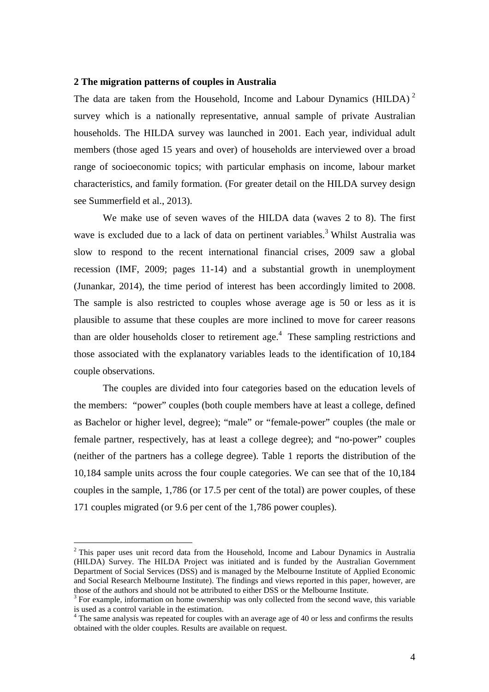### **2 The migration patterns of couples in Australia**

The data are taken from the Household, Income and Labour Dynamics (HILDA)<sup>[2](#page-5-0)</sup> survey which is a nationally representative, annual sample of private Australian households. The HILDA survey was launched in 2001. Each year, individual adult members (those aged 15 years and over) of households are interviewed over a broad range of socioeconomic topics; with particular emphasis on income, labour market characteristics, and family formation. (For greater detail on the HILDA survey design see Summerfield et al., 2013).

We make use of seven waves of the HILDA data (waves 2 to 8). The first wave is excluded due to a lack of data on pertinent variables.<sup>[3](#page-5-1)</sup> Whilst Australia was slow to respond to the recent international financial crises, 2009 saw a global recession (IMF, 2009; pages 11-14) and a substantial growth in unemployment (Junankar, 2014), the time period of interest has been accordingly limited to 2008. The sample is also restricted to couples whose average age is 50 or less as it is plausible to assume that these couples are more inclined to move for career reasons than are older households closer to retirement age. $4$  These sampling restrictions and those associated with the explanatory variables leads to the identification of 10,184 couple observations.

The couples are divided into four categories based on the education levels of the members: "power" couples (both couple members have at least a college, defined as Bachelor or higher level, degree); "male" or "female-power" couples (the male or female partner, respectively, has at least a college degree); and "no-power" couples (neither of the partners has a college degree). Table 1 reports the distribution of the 10,184 sample units across the four couple categories. We can see that of the 10,184 couples in the sample, 1,786 (or 17.5 per cent of the total) are power couples, of these 171 couples migrated (or 9.6 per cent of the 1,786 power couples).

<span id="page-5-0"></span> $2$ <sup>2</sup> This paper uses unit record data from the Household, Income and Labour Dynamics in Australia (HILDA) Survey. The HILDA Project was initiated and is funded by the Australian Government Department of Social Services (DSS) and is managed by the Melbourne Institute of Applied Economic and Social Research Melbourne Institute). The findings and views reported in this paper, however, are those of the authors and should not be attributed to either DSS or the Melbourne Institute.

<span id="page-5-1"></span> $3$  For example, information on home ownership was only collected from the second wave, this variable is used as a control variable in the estimation.

<span id="page-5-2"></span><sup>&</sup>lt;sup>4</sup> The same analysis was repeated for couples with an average age of 40 or less and confirms the results obtained with the older couples. Results are available on request.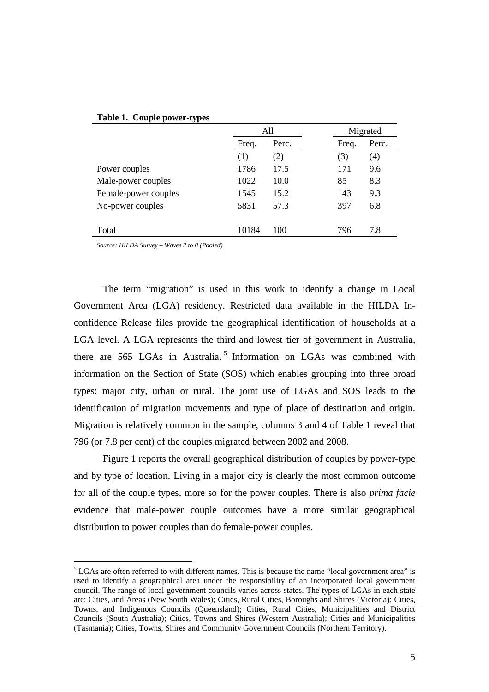|                      | All   |       | Migrated |       |
|----------------------|-------|-------|----------|-------|
|                      | Freq. | Perc. | Freq.    | Perc. |
|                      | (1)   | (2)   | (3)      | (4)   |
| Power couples        | 1786  | 17.5  | 171      | 9.6   |
| Male-power couples   | 1022  | 10.0  | 85       | 8.3   |
| Female-power couples | 1545  | 15.2  | 143      | 9.3   |
| No-power couples     | 5831  | 57.3  | 397      | 6.8   |
|                      |       |       |          |       |
| Total                | 10184 | 100   | 796      | 7.8   |

#### **Table 1. Couple power-types**

*Source: HILDA Survey – Waves 2 to 8 (Pooled)*

The term "migration" is used in this work to identify a change in Local Government Area (LGA) residency. Restricted data available in the HILDA Inconfidence Release files provide the geographical identification of households at a LGA level. A LGA represents the third and lowest tier of government in Australia, there are [5](#page-6-0)65 LGAs in Australia.<sup>5</sup> Information on LGAs was combined with information on the Section of State (SOS) which enables grouping into three broad types: major city, urban or rural. The joint use of LGAs and SOS leads to the identification of migration movements and type of place of destination and origin. Migration is relatively common in the sample, columns 3 and 4 of Table 1 reveal that 796 (or 7.8 per cent) of the couples migrated between 2002 and 2008.

Figure 1 reports the overall geographical distribution of couples by power-type and by type of location. Living in a major city is clearly the most common outcome for all of the couple types, more so for the power couples. There is also *prima facie* evidence that male-power couple outcomes have a more similar geographical distribution to power couples than do female-power couples.

<span id="page-6-0"></span> $<sup>5</sup>$  LGAs are often referred to with different names. This is because the name "local government area" is</sup> used to identify a geographical area under the responsibility of an incorporated local government council. The range of local government councils varies across states. The types of LGAs in each state are: Cities, and Areas (New South Wales); Cities, Rural Cities, Boroughs and Shires (Victoria); Cities, Towns, and Indigenous Councils (Queensland); Cities, Rural Cities, Municipalities and District Councils (South Australia); Cities, Towns and Shires (Western Australia); Cities and Municipalities (Tasmania); Cities, Towns, Shires and Community Government Councils (Northern Territory).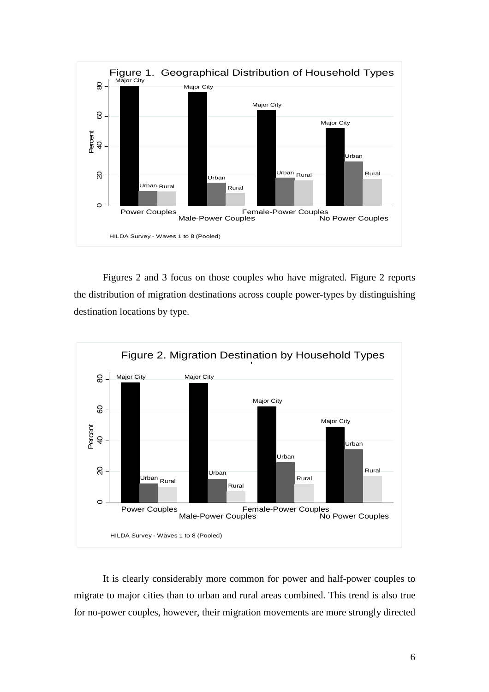

Figures 2 and 3 focus on those couples who have migrated. Figure 2 reports the distribution of migration destinations across couple power-types by distinguishing destination locations by type.



It is clearly considerably more common for power and half-power couples to migrate to major cities than to urban and rural areas combined. This trend is also true for no-power couples, however, their migration movements are more strongly directed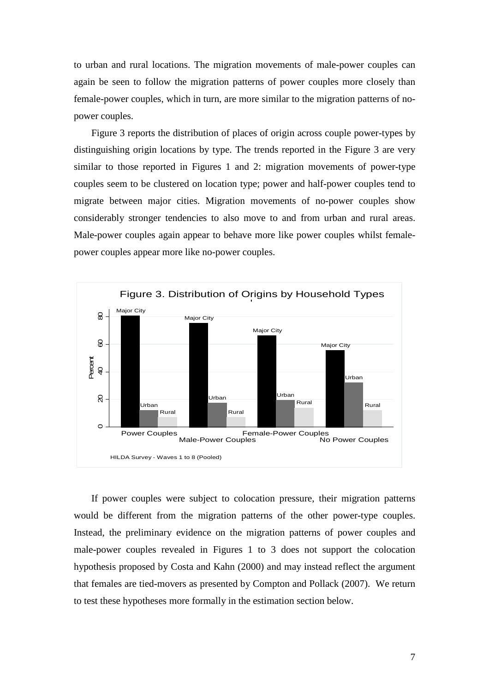to urban and rural locations. The migration movements of male-power couples can again be seen to follow the migration patterns of power couples more closely than female-power couples, which in turn, are more similar to the migration patterns of nopower couples.

Figure 3 reports the distribution of places of origin across couple power-types by distinguishing origin locations by type. The trends reported in the Figure 3 are very similar to those reported in Figures 1 and 2: migration movements of power-type couples seem to be clustered on location type; power and half-power couples tend to migrate between major cities. Migration movements of no-power couples show considerably stronger tendencies to also move to and from urban and rural areas. Male-power couples again appear to behave more like power couples whilst femalepower couples appear more like no-power couples.



If power couples were subject to colocation pressure, their migration patterns would be different from the migration patterns of the other power-type couples. Instead, the preliminary evidence on the migration patterns of power couples and male-power couples revealed in Figures 1 to 3 does not support the colocation hypothesis proposed by Costa and Kahn (2000) and may instead reflect the argument that females are tied-movers as presented by Compton and Pollack (2007). We return to test these hypotheses more formally in the estimation section below.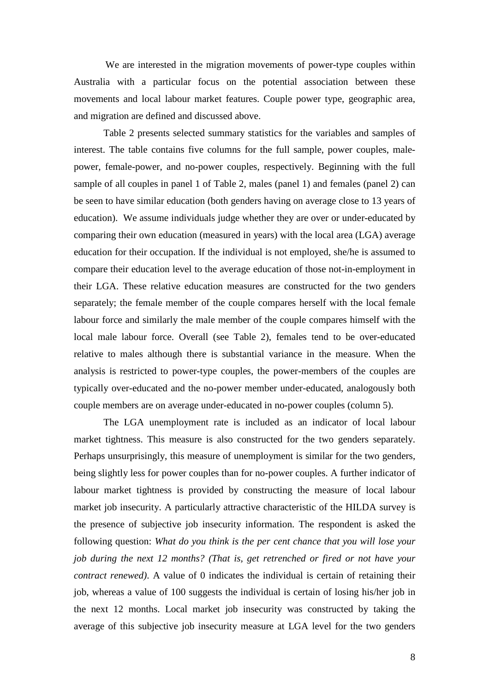We are interested in the migration movements of power-type couples within Australia with a particular focus on the potential association between these movements and local labour market features. Couple power type, geographic area, and migration are defined and discussed above.

Table 2 presents selected summary statistics for the variables and samples of interest. The table contains five columns for the full sample, power couples, malepower, female-power, and no-power couples, respectively. Beginning with the full sample of all couples in panel 1 of Table 2, males (panel 1) and females (panel 2) can be seen to have similar education (both genders having on average close to 13 years of education). We assume individuals judge whether they are over or under-educated by comparing their own education (measured in years) with the local area (LGA) average education for their occupation. If the individual is not employed, she/he is assumed to compare their education level to the average education of those not-in-employment in their LGA. These relative education measures are constructed for the two genders separately; the female member of the couple compares herself with the local female labour force and similarly the male member of the couple compares himself with the local male labour force. Overall (see Table 2), females tend to be over-educated relative to males although there is substantial variance in the measure. When the analysis is restricted to power-type couples, the power-members of the couples are typically over-educated and the no-power member under-educated, analogously both couple members are on average under-educated in no-power couples (column 5).

The LGA unemployment rate is included as an indicator of local labour market tightness. This measure is also constructed for the two genders separately. Perhaps unsurprisingly, this measure of unemployment is similar for the two genders, being slightly less for power couples than for no-power couples. A further indicator of labour market tightness is provided by constructing the measure of local labour market job insecurity. A particularly attractive characteristic of the HILDA survey is the presence of subjective job insecurity information. The respondent is asked the following question: *What do you think is the per cent chance that you will lose your job during the next 12 months? (That is, get retrenched or fired or not have your contract renewed)*. A value of 0 indicates the individual is certain of retaining their job, whereas a value of 100 suggests the individual is certain of losing his/her job in the next 12 months. Local market job insecurity was constructed by taking the average of this subjective job insecurity measure at LGA level for the two genders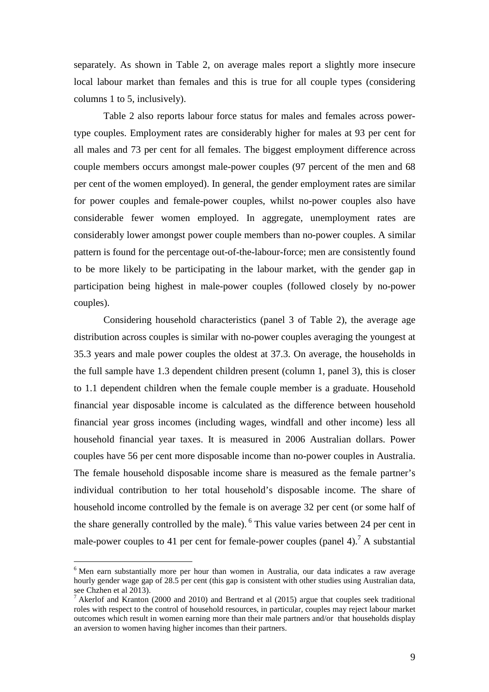separately. As shown in Table 2, on average males report a slightly more insecure local labour market than females and this is true for all couple types (considering columns 1 to 5, inclusively).

Table 2 also reports labour force status for males and females across powertype couples. Employment rates are considerably higher for males at 93 per cent for all males and 73 per cent for all females. The biggest employment difference across couple members occurs amongst male-power couples (97 percent of the men and 68 per cent of the women employed). In general, the gender employment rates are similar for power couples and female-power couples, whilst no-power couples also have considerable fewer women employed. In aggregate, unemployment rates are considerably lower amongst power couple members than no-power couples. A similar pattern is found for the percentage out-of-the-labour-force; men are consistently found to be more likely to be participating in the labour market, with the gender gap in participation being highest in male-power couples (followed closely by no-power couples).

Considering household characteristics (panel 3 of Table 2), the average age distribution across couples is similar with no-power couples averaging the youngest at 35.3 years and male power couples the oldest at 37.3. On average, the households in the full sample have 1.3 dependent children present (column 1, panel 3), this is closer to 1.1 dependent children when the female couple member is a graduate. Household financial year disposable income is calculated as the difference between household financial year gross incomes (including wages, windfall and other income) less all household financial year taxes. It is measured in 2006 Australian dollars. Power couples have 56 per cent more disposable income than no-power couples in Australia. The female household disposable income share is measured as the female partner's individual contribution to her total household's disposable income. The share of household income controlled by the female is on average 32 per cent (or some half of the share generally controlled by the male). <sup>[6](#page-10-0)</sup> This value varies between 24 per cent in male-powercouples to 41 per cent for female-power couples (panel 4)[.](#page-10-1)<sup>7</sup> A substantial

<span id="page-10-0"></span><sup>&</sup>lt;sup>6</sup> Men earn substantially more per hour than women in Australia, our data indicates a raw average hourly gender wage gap of 28.5 per cent (this gap is consistent with other studies using Australian data, see Chzhen et al 2013).

<span id="page-10-1"></span><sup>7</sup> Akerlof and Kranton (2000 and 2010) and Bertrand et al (2015) argue that couples seek traditional roles with respect to the control of household resources, in particular, couples may reject labour market outcomes which result in women earning more than their male partners and/or that households display an aversion to women having higher incomes than their partners.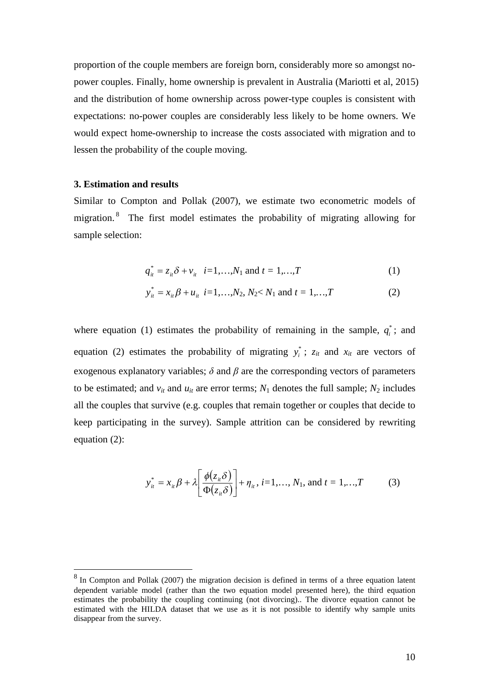proportion of the couple members are foreign born, considerably more so amongst nopower couples. Finally, home ownership is prevalent in Australia (Mariotti et al, 2015) and the distribution of home ownership across power-type couples is consistent with expectations: no-power couples are considerably less likely to be home owners. We would expect home-ownership to increase the costs associated with migration and to lessen the probability of the couple moving.

### **3. Estimation and results**

Similar to Compton and Pollak (2007), we estimate two econometric models of migration.<sup>[8](#page-11-0)</sup> The first model estimates the probability of migrating allowing for sample selection:

$$
q_{it}^* = z_{it}\delta + v_{it} \quad i = 1,...,N_1 \text{ and } t = 1,...,T
$$
 (1)

$$
y_{it}^* = x_{it} \beta + u_{it} \ \ i = 1, \dots, N_2, N_2 < N_1 \ \text{and} \ t = 1, \dots, T \tag{2}
$$

where equation (1) estimates the probability of remaining in the sample,  $q_i^*$ ; and equation (2) estimates the probability of migrating  $y_i^*$ ;  $z_{it}$  and  $x_{it}$  are vectors of exogenous explanatory variables;  $\delta$  and  $\beta$  are the corresponding vectors of parameters to be estimated; and  $v_{it}$  and  $u_{it}$  are error terms;  $N_1$  denotes the full sample;  $N_2$  includes all the couples that survive (e.g. couples that remain together or couples that decide to keep participating in the survey). Sample attrition can be considered by rewriting equation (2):

$$
y_{it}^{*} = x_{it} \beta + \lambda \left[ \frac{\phi(z_{it} \delta)}{\Phi(z_{it} \delta)} \right] + \eta_{it}, i = 1, ..., N_1, \text{ and } t = 1, ..., T \quad (3)
$$

<span id="page-11-0"></span> $8 \text{ In Compton and Pollak}$  (2007) the migration decision is defined in terms of a three equation latent dependent variable model (rather than the two equation model presented here), the third equation estimates the probability the coupling continuing (not divorcing).. The divorce equation cannot be estimated with the HILDA dataset that we use as it is not possible to identify why sample units disappear from the survey.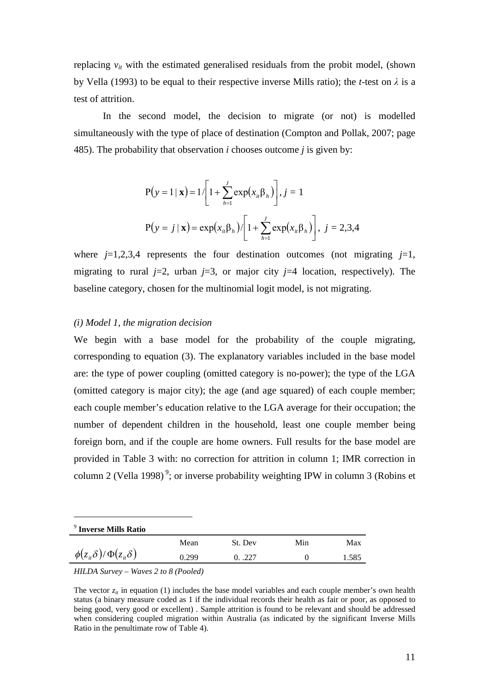replacing  $v_{it}$  with the estimated generalised residuals from the probit model, (shown by Vella (1993) to be equal to their respective inverse Mills ratio); the *t*-test on *λ* is a test of attrition.

In the second model, the decision to migrate (or not) is modelled simultaneously with the type of place of destination (Compton and Pollak, 2007; page 485). The probability that observation *i* chooses outcome *j* is given by:

$$
P(y = 1 | \mathbf{x}) = 1 / \left[ 1 + \sum_{h=1}^{J} \exp(x_{ih} \beta_h) \right], j = 1
$$
  

$$
P(y = j | \mathbf{x}) = \exp(x_{ih} \beta_h) / \left[ 1 + \sum_{h=1}^{J} \exp(x_{ih} \beta_h) \right], j = 2,3,4
$$

where  $j=1,2,3,4$  represents the four destination outcomes (not migrating  $j=1$ , migrating to rural  $j=2$ , urban  $j=3$ , or major city  $j=4$  location, respectively). The baseline category, chosen for the multinomial logit model, is not migrating.

### *(i) Model 1, the migration decision*

We begin with a base model for the probability of the couple migrating, corresponding to equation (3). The explanatory variables included in the base model are: the type of power coupling (omitted category is no-power); the type of the LGA (omitted category is major city); the age (and age squared) of each couple member; each couple member's education relative to the LGA average for their occupation; the number of dependent children in the household, least one couple member being foreign born, and if the couple are home owners. Full results for the base model are provided in Table 3 with: no correction for attrition in column 1; IMR correction in column 2 (Vella 1998)<sup>9</sup>[;](#page-12-0) or inverse probability weighting IPW in column 3 (Robins et

<span id="page-12-0"></span>

| <sup>9</sup> Inverse Mills Ratio                  |       |         |     |       |
|---------------------------------------------------|-------|---------|-----|-------|
|                                                   | Mean  | St. Dev | Min | Max   |
| $\phi(z_{i\theta}\delta)/\Phi(z_{i\theta}\delta)$ | 0.299 | 0.0227  |     | 1.585 |
|                                                   |       |         |     |       |

*HILDA Survey – Waves 2 to 8 (Pooled)*

The vector  $z_i$  in equation (1) includes the base model variables and each couple member's own health status (a binary measure coded as 1 if the individual records their health as fair or poor, as opposed to being good, very good or excellent) . Sample attrition is found to be relevant and should be addressed when considering coupled migration within Australia (as indicated by the significant Inverse Mills Ratio in the penultimate row of Table 4).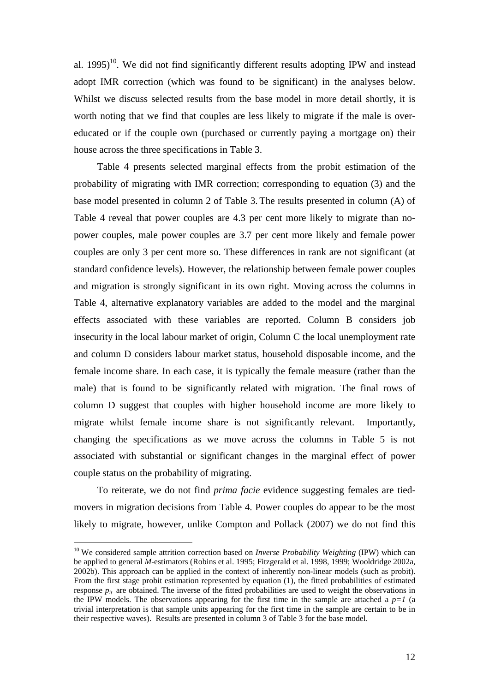al.  $1995)^{10}$  $1995)^{10}$  $1995)^{10}$ . We did not find significantly different results adopting IPW and instead adopt IMR correction (which was found to be significant) in the analyses below. Whilst we discuss selected results from the base model in more detail shortly, it is worth noting that we find that couples are less likely to migrate if the male is overeducated or if the couple own (purchased or currently paying a mortgage on) their house across the three specifications in Table 3.

Table 4 presents selected marginal effects from the probit estimation of the probability of migrating with IMR correction; corresponding to equation (3) and the base model presented in column 2 of Table 3. The results presented in column (A) of Table 4 reveal that power couples are 4.3 per cent more likely to migrate than nopower couples, male power couples are 3.7 per cent more likely and female power couples are only 3 per cent more so. These differences in rank are not significant (at standard confidence levels). However, the relationship between female power couples and migration is strongly significant in its own right. Moving across the columns in Table 4, alternative explanatory variables are added to the model and the marginal effects associated with these variables are reported. Column B considers job insecurity in the local labour market of origin, Column C the local unemployment rate and column D considers labour market status, household disposable income, and the female income share. In each case, it is typically the female measure (rather than the male) that is found to be significantly related with migration. The final rows of column D suggest that couples with higher household income are more likely to migrate whilst female income share is not significantly relevant. Importantly, changing the specifications as we move across the columns in Table 5 is not associated with substantial or significant changes in the marginal effect of power couple status on the probability of migrating.

To reiterate, we do not find *prima facie* evidence suggesting females are tiedmovers in migration decisions from Table 4. Power couples do appear to be the most likely to migrate, however, unlike Compton and Pollack (2007) we do not find this

<span id="page-13-0"></span><sup>&</sup>lt;sup>10</sup> We considered sample attrition correction based on *Inverse Probability Weighting* (IPW) which can be applied to general *M*-estimators (Robins et al. 1995; Fitzgerald et al. 1998, 1999; Wooldridge 2002a, 2002b). This approach can be applied in the context of inherently non-linear models (such as probit). From the first stage probit estimation represented by equation (1), the fitted probabilities of estimated response  $p_i$  are obtained. The inverse of the fitted probabilities are used to weight the observations in the IPW models. The observations appearing for the first time in the sample are attached a  $p=1$  (a trivial interpretation is that sample units appearing for the first time in the sample are certain to be in their respective waves). Results are presented in column 3 of Table 3 for the base model.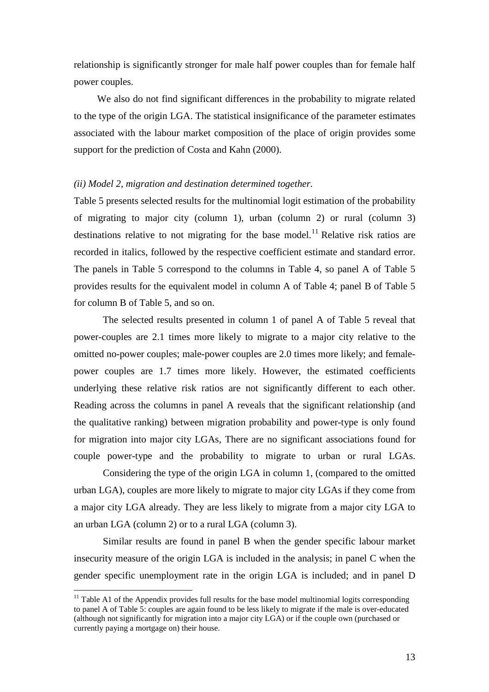relationship is significantly stronger for male half power couples than for female half power couples.

We also do not find significant differences in the probability to migrate related to the type of the origin LGA. The statistical insignificance of the parameter estimates associated with the labour market composition of the place of origin provides some support for the prediction of Costa and Kahn (2000).

### *(ii) Model 2, migration and destination determined together.*

Table 5 presents selected results for the multinomial logit estimation of the probability of migrating to major city (column 1), urban (column 2) or rural (column 3) destinations relative to not migrating for the base model.<sup>[11](#page-14-0)</sup> Relative risk ratios are recorded in italics, followed by the respective coefficient estimate and standard error. The panels in Table 5 correspond to the columns in Table 4, so panel A of Table 5 provides results for the equivalent model in column A of Table 4; panel B of Table 5 for column B of Table 5, and so on.

The selected results presented in column 1 of panel A of Table 5 reveal that power-couples are 2.1 times more likely to migrate to a major city relative to the omitted no-power couples; male-power couples are 2.0 times more likely; and femalepower couples are 1.7 times more likely. However, the estimated coefficients underlying these relative risk ratios are not significantly different to each other. Reading across the columns in panel A reveals that the significant relationship (and the qualitative ranking) between migration probability and power-type is only found for migration into major city LGAs, There are no significant associations found for couple power-type and the probability to migrate to urban or rural LGAs.

Considering the type of the origin LGA in column 1, (compared to the omitted urban LGA), couples are more likely to migrate to major city LGAs if they come from a major city LGA already. They are less likely to migrate from a major city LGA to an urban LGA (column 2) or to a rural LGA (column 3).

Similar results are found in panel B when the gender specific labour market insecurity measure of the origin LGA is included in the analysis; in panel C when the gender specific unemployment rate in the origin LGA is included; and in panel D

<span id="page-14-0"></span> $11$  Table A1 of the Appendix provides full results for the base model multinomial logits corresponding to panel A of Table 5: couples are again found to be less likely to migrate if the male is over-educated (although not significantly for migration into a major city LGA) or if the couple own (purchased or currently paying a mortgage on) their house.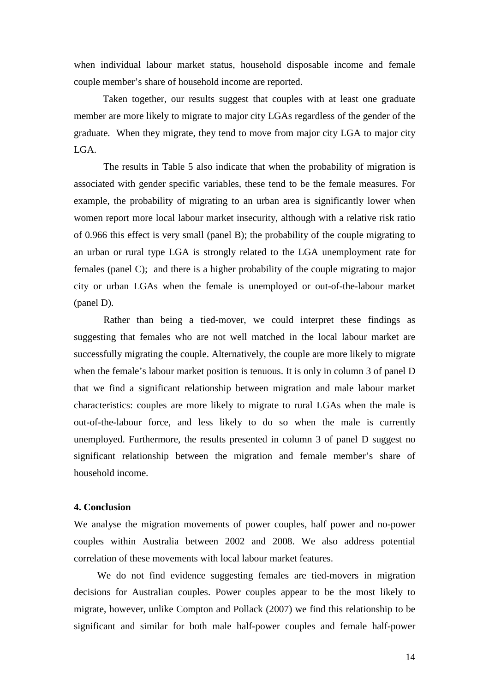when individual labour market status, household disposable income and female couple member's share of household income are reported.

Taken together, our results suggest that couples with at least one graduate member are more likely to migrate to major city LGAs regardless of the gender of the graduate. When they migrate, they tend to move from major city LGA to major city LGA.

The results in Table 5 also indicate that when the probability of migration is associated with gender specific variables, these tend to be the female measures. For example, the probability of migrating to an urban area is significantly lower when women report more local labour market insecurity, although with a relative risk ratio of 0.966 this effect is very small (panel B); the probability of the couple migrating to an urban or rural type LGA is strongly related to the LGA unemployment rate for females (panel C); and there is a higher probability of the couple migrating to major city or urban LGAs when the female is unemployed or out-of-the-labour market (panel D).

Rather than being a tied-mover, we could interpret these findings as suggesting that females who are not well matched in the local labour market are successfully migrating the couple. Alternatively, the couple are more likely to migrate when the female's labour market position is tenuous. It is only in column 3 of panel D that we find a significant relationship between migration and male labour market characteristics: couples are more likely to migrate to rural LGAs when the male is out-of-the-labour force, and less likely to do so when the male is currently unemployed. Furthermore, the results presented in column 3 of panel D suggest no significant relationship between the migration and female member's share of household income.

### **4. Conclusion**

We analyse the migration movements of power couples, half power and no-power couples within Australia between 2002 and 2008. We also address potential correlation of these movements with local labour market features.

We do not find evidence suggesting females are tied-movers in migration decisions for Australian couples. Power couples appear to be the most likely to migrate, however, unlike Compton and Pollack (2007) we find this relationship to be significant and similar for both male half-power couples and female half-power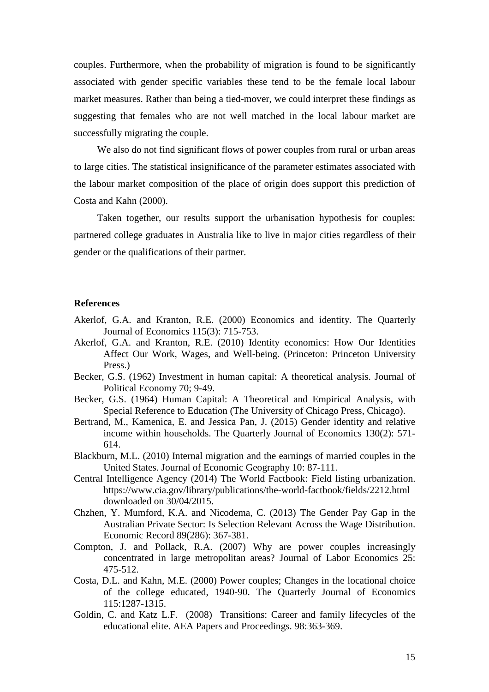couples. Furthermore, when the probability of migration is found to be significantly associated with gender specific variables these tend to be the female local labour market measures. Rather than being a tied-mover, we could interpret these findings as suggesting that females who are not well matched in the local labour market are successfully migrating the couple.

We also do not find significant flows of power couples from rural or urban areas to large cities. The statistical insignificance of the parameter estimates associated with the labour market composition of the place of origin does support this prediction of Costa and Kahn (2000).

Taken together, our results support the urbanisation hypothesis for couples: partnered college graduates in Australia like to live in major cities regardless of their gender or the qualifications of their partner.

### **References**

- Akerlof, G.A. and Kranton, R.E. (2000) Economics and identity. The Quarterly Journal of Economics 115(3): 715-753.
- Akerlof, G.A. and Kranton, R.E. (2010) Identity economics: How Our Identities Affect Our Work, Wages, and Well-being. (Princeton: Princeton University Press.)
- Becker, G.S. (1962) Investment in human capital: A theoretical analysis. Journal of Political Economy 70; 9-49.
- Becker, G.S. (1964) Human Capital: A Theoretical and Empirical Analysis, with Special Reference to Education (The University of Chicago Press, Chicago).
- Bertrand, M., Kamenica, E. and Jessica Pan, J. (2015) Gender identity and relative income within households. The Quarterly Journal of Economics 130(2): 571- 614.
- Blackburn, M.L. (2010) Internal migration and the earnings of married couples in the United States. Journal of Economic Geography 10: 87-111.
- Central Intelligence Agency (2014) The World Factbook: Field listing urbanization. [https://www.cia.gov/library/publications/the-world-factbook/fields/2212.html](https://www.cia.gov/library/publications/the-world-factbook/fields/2212.html downloaded on 30/04/2015) [downloaded on 30/04/2015](https://www.cia.gov/library/publications/the-world-factbook/fields/2212.html downloaded on 30/04/2015).
- Chzhen, Y. Mumford, K.A. and Nicodema, C. (2013) The Gender Pay Gap in the Australian Private Sector: Is Selection Relevant Across the Wage Distribution. Economic Record 89(286): 367-381.
- Compton, J. and Pollack, R.A. (2007) Why are power couples increasingly concentrated in large metropolitan areas? Journal of Labor Economics 25: 475-512.
- Costa, D.L. and Kahn, M.E. (2000) Power couples; Changes in the locational choice of the college educated, 1940-90. The Quarterly Journal of Economics 115:1287-1315.
- Goldin, C. and Katz L.F. (2008) Transitions: Career and family lifecycles of the educational elite. AEA Papers and Proceedings. 98:363-369.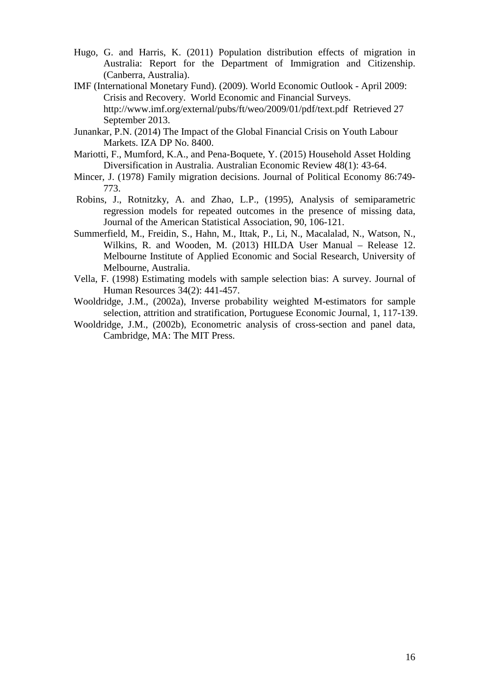- Hugo, G. and Harris, K. (2011) Population distribution effects of migration in Australia: Report for the Department of Immigration and Citizenship. (Canberra, Australia).
- IMF (International Monetary Fund). (2009). World Economic Outlook April 2009: Crisis and Recovery. World Economic and Financial Surveys. <http://www.imf.org/external/pubs/ft/weo/2009/01/pdf/text.pdf> Retrieved 27 September 2013.
- Junankar, P.N. (2014) The Impact of the Global Financial Crisis on Youth Labour Markets. IZA DP No. 8400.
- Mariotti, F., Mumford, K.A., and Pena-Boquete, Y. (2015) Household Asset Holding Diversification in Australia. Australian Economic Review 48(1): 43-64.
- Mincer, J. (1978) Family migration decisions. Journal of Political Economy 86:749- 773.
- Robins, J., Rotnitzky, A. and Zhao, L.P., (1995), Analysis of semiparametric regression models for repeated outcomes in the presence of missing data, Journal of the American Statistical Association, 90, 106-121.
- Summerfield, M., Freidin, S., Hahn, M., Ittak, P., Li, N., Macalalad, N., Watson, N., Wilkins, R. and Wooden, M. (2013) HILDA User Manual – Release 12. Melbourne Institute of Applied Economic and Social Research, University of Melbourne, Australia.
- Vella, F. (1998) Estimating models with sample selection bias: A survey. Journal of Human Resources 34(2): 441-457.
- Wooldridge, J.M., (2002a), Inverse probability weighted M-estimators for sample selection, attrition and stratification, Portuguese Economic Journal, 1, 117-139.
- Wooldridge, J.M., (2002b), Econometric analysis of cross-section and panel data, Cambridge, MA: The MIT Press.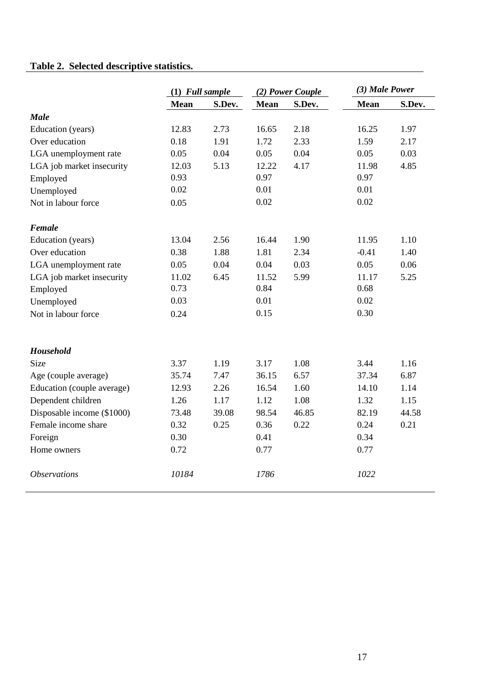# **Table 2. Selected descriptive statistics.**

|                            | $(1)$ Full sample |        |             | (2) Power Couple | (3) Male Power |        |
|----------------------------|-------------------|--------|-------------|------------------|----------------|--------|
|                            | <b>Mean</b>       | S.Dev. | <b>Mean</b> | S.Dev.           | <b>Mean</b>    | S.Dev. |
| <b>Male</b>                |                   |        |             |                  |                |        |
| Education (years)          | 12.83             | 2.73   | 16.65       | 2.18             | 16.25          | 1.97   |
| Over education             | 0.18              | 1.91   | 1.72        | 2.33             | 1.59           | 2.17   |
| LGA unemployment rate      | 0.05              | 0.04   | 0.05        | 0.04             | 0.05           | 0.03   |
| LGA job market insecurity  | 12.03             | 5.13   | 12.22       | 4.17             | 11.98          | 4.85   |
| Employed                   | 0.93              |        | 0.97        |                  | 0.97           |        |
| Unemployed                 | 0.02              |        | 0.01        |                  | 0.01           |        |
| Not in labour force        | 0.05              |        | 0.02        |                  | 0.02           |        |
| Female                     |                   |        |             |                  |                |        |
| Education (years)          | 13.04             | 2.56   | 16.44       | 1.90             | 11.95          | 1.10   |
| Over education             | 0.38              | 1.88   | 1.81        | 2.34             | $-0.41$        | 1.40   |
| LGA unemployment rate      | 0.05              | 0.04   | 0.04        | 0.03             | 0.05           | 0.06   |
| LGA job market insecurity  | 11.02             | 6.45   | 11.52       | 5.99             | 11.17          | 5.25   |
| Employed                   | 0.73              |        | 0.84        |                  | 0.68           |        |
| Unemployed                 | 0.03              |        | 0.01        |                  | 0.02           |        |
| Not in labour force        | 0.24              |        | 0.15        |                  | 0.30           |        |
| <b>Household</b>           |                   |        |             |                  |                |        |
| <b>Size</b>                | 3.37              | 1.19   | 3.17        | 1.08             | 3.44           | 1.16   |
| Age (couple average)       | 35.74             | 7.47   | 36.15       | 6.57             | 37.34          | 6.87   |
| Education (couple average) | 12.93             | 2.26   | 16.54       | 1.60             | 14.10          | 1.14   |
| Dependent children         | 1.26              | 1.17   | 1.12        | 1.08             | 1.32           | 1.15   |
| Disposable income (\$1000) | 73.48             | 39.08  | 98.54       | 46.85            | 82.19          | 44.58  |
| Female income share        | 0.32              | 0.25   | 0.36        | 0.22             | 0.24           | 0.21   |
| Foreign                    | 0.30              |        | 0.41        |                  | 0.34           |        |
| Home owners                | 0.72              |        | 0.77        |                  | 0.77           |        |
| <i><b>Observations</b></i> | 10184             |        | 1786        |                  | 1022           |        |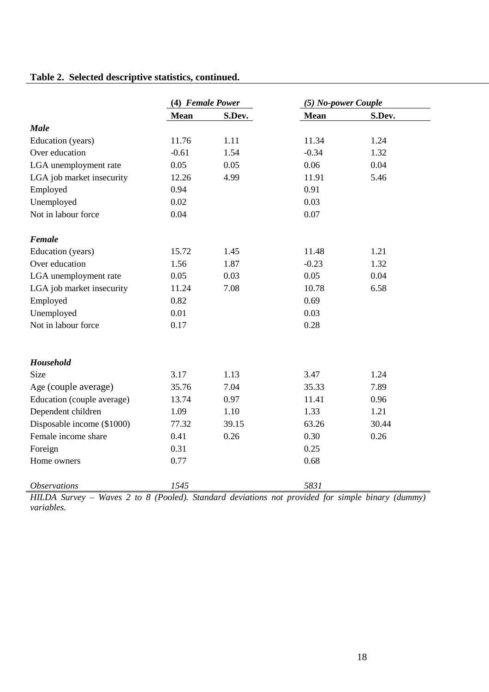### **Table 2. Selected descriptive statistics, continued.**

|                            | (4) Female Power |        | (5) No-power Couple |        |
|----------------------------|------------------|--------|---------------------|--------|
|                            | <b>Mean</b>      | S.Dev. | <b>Mean</b>         | S.Dev. |
| <b>Male</b>                |                  |        |                     |        |
| Education (years)          | 11.76            | 1.11   | 11.34               | 1.24   |
| Over education             | $-0.61$          | 1.54   | $-0.34$             | 1.32   |
| LGA unemployment rate      | 0.05             | 0.05   | 0.06                | 0.04   |
| LGA job market insecurity  | 12.26            | 4.99   | 11.91               | 5.46   |
| Employed                   | 0.94             |        | 0.91                |        |
| Unemployed                 | 0.02             |        | 0.03                |        |
| Not in labour force        | 0.04             |        | 0.07                |        |
| Female                     |                  |        |                     |        |
| Education (years)          | 15.72            | 1.45   | 11.48               | 1.21   |
| Over education             | 1.56             | 1.87   | $-0.23$             | 1.32   |
| LGA unemployment rate      | 0.05             | 0.03   | 0.05                | 0.04   |
| LGA job market insecurity  | 11.24            | 7.08   | 10.78               | 6.58   |
| Employed                   | 0.82             |        | 0.69                |        |
| Unemployed                 | 0.01             |        | 0.03                |        |
| Not in labour force        | 0.17             |        | 0.28                |        |
| Household                  |                  |        |                     |        |
| Size                       | 3.17             | 1.13   | 3.47                | 1.24   |
| Age (couple average)       | 35.76            | 7.04   | 35.33               | 7.89   |
| Education (couple average) | 13.74            | 0.97   | 11.41               | 0.96   |
| Dependent children         | 1.09             | 1.10   | 1.33                | 1.21   |
| Disposable income (\$1000) | 77.32            | 39.15  | 63.26               | 30.44  |
| Female income share        | 0.41             | 0.26   | 0.30                | 0.26   |
| Foreign                    | 0.31             |        | 0.25                |        |
| Home owners                | 0.77             |        | 0.68                |        |
| <i><b>Observations</b></i> | 1545             |        | 5831                |        |

*HILDA Survey – Waves 2 to 8 (Pooled). Standard deviations not provided for simple binary (dummy) variables.*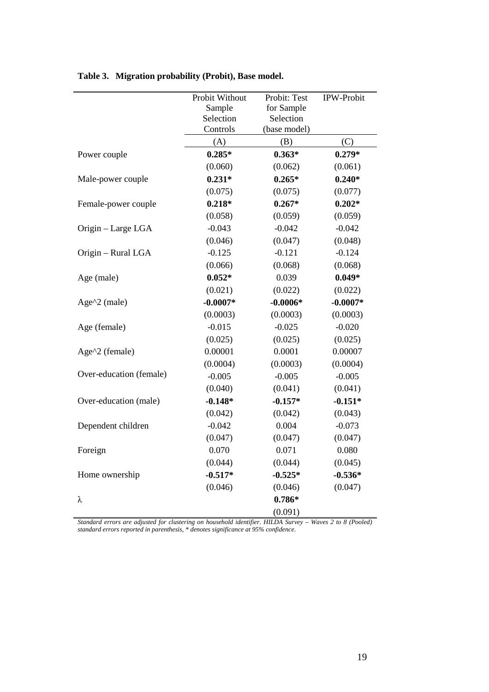|                         | Probit Without | Probit: Test | <b>IPW-Probit</b> |
|-------------------------|----------------|--------------|-------------------|
|                         | Sample         | for Sample   |                   |
|                         | Selection      | Selection    |                   |
|                         | Controls       | (base model) |                   |
|                         | (A)            | (B)          | (C)               |
| Power couple            | $0.285*$       | $0.363*$     | $0.279*$          |
|                         | (0.060)        | (0.062)      | (0.061)           |
| Male-power couple       | $0.231*$       | $0.265*$     | $0.240*$          |
|                         | (0.075)        | (0.075)      | (0.077)           |
| Female-power couple     | $0.218*$       | $0.267*$     | $0.202*$          |
|                         | (0.058)        | (0.059)      | (0.059)           |
| Origin - Large LGA      | $-0.043$       | $-0.042$     | $-0.042$          |
|                         | (0.046)        | (0.047)      | (0.048)           |
| Origin - Rural LGA      | $-0.125$       | $-0.121$     | $-0.124$          |
|                         | (0.066)        | (0.068)      | (0.068)           |
| Age (male)              | $0.052*$       | 0.039        | $0.049*$          |
|                         | (0.021)        | (0.022)      | (0.022)           |
| Age $^2$ (male)         | $-0.0007*$     | $-0.0006*$   | $-0.0007*$        |
|                         | (0.0003)       | (0.0003)     | (0.0003)          |
| Age (female)            | $-0.015$       | $-0.025$     | $-0.020$          |
|                         | (0.025)        | (0.025)      | (0.025)           |
| Age^2 (female)          | 0.00001        | 0.0001       | 0.00007           |
|                         | (0.0004)       | (0.0003)     | (0.0004)          |
| Over-education (female) | $-0.005$       | $-0.005$     | $-0.005$          |
|                         | (0.040)        | (0.041)      | (0.041)           |
| Over-education (male)   | $-0.148*$      | $-0.157*$    | $-0.151*$         |
|                         | (0.042)        | (0.042)      | (0.043)           |
| Dependent children      | $-0.042$       | 0.004        | $-0.073$          |
|                         | (0.047)        | (0.047)      | (0.047)           |
| Foreign                 | 0.070          | 0.071        | 0.080             |
|                         | (0.044)        | (0.044)      | (0.045)           |
| Home ownership          | $-0.517*$      | $-0.525*$    | $-0.536*$         |
|                         | (0.046)        | (0.046)      | (0.047)           |
| λ                       |                | $0.786*$     |                   |
|                         |                | (0.091)      |                   |

**Table 3. Migration probability (Probit), Base model.**

*Standard errors are adjusted for clustering on household identifier. HILDA Survey – Waves 2 to 8 (Pooled) standard errors reported in parenthesis, \* denotes significance at 95% confidence.*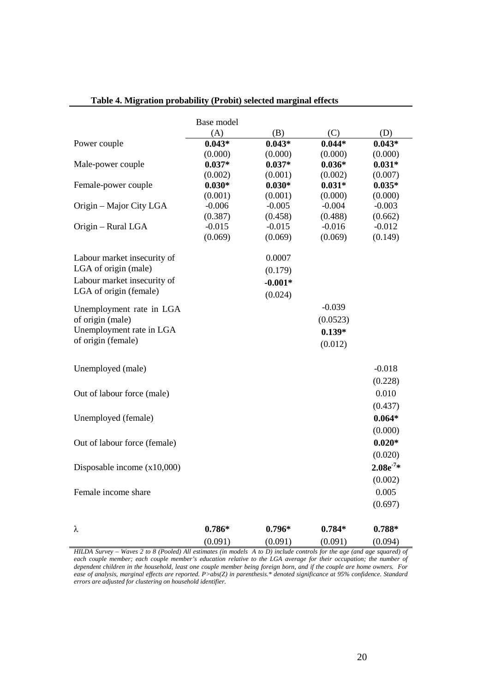|                               | Base model |           |          |              |
|-------------------------------|------------|-----------|----------|--------------|
|                               | (A)        | (B)       | (C)      | (D)          |
| Power couple                  | $0.043*$   | $0.043*$  | $0.044*$ | $0.043*$     |
|                               | (0.000)    | (0.000)   | (0.000)  | (0.000)      |
| Male-power couple             | $0.037*$   | $0.037*$  | $0.036*$ | $0.031*$     |
|                               | (0.002)    | (0.001)   | (0.002)  | (0.007)      |
| Female-power couple           | $0.030*$   | $0.030*$  | $0.031*$ | $0.035*$     |
|                               | (0.001)    | (0.001)   | (0.000)  | (0.000)      |
| Origin – Major City LGA       | $-0.006$   | $-0.005$  | $-0.004$ | $-0.003$     |
|                               | (0.387)    | (0.458)   | (0.488)  | (0.662)      |
| Origin – Rural LGA            | $-0.015$   | $-0.015$  | $-0.016$ | $-0.012$     |
|                               | (0.069)    | (0.069)   | (0.069)  | (0.149)      |
| Labour market insecurity of   |            | 0.0007    |          |              |
| LGA of origin (male)          |            | (0.179)   |          |              |
| Labour market insecurity of   |            | $-0.001*$ |          |              |
| LGA of origin (female)        |            | (0.024)   |          |              |
| Unemployment rate in LGA      |            |           | $-0.039$ |              |
| of origin (male)              |            |           | (0.0523) |              |
| Unemployment rate in LGA      |            |           | $0.139*$ |              |
| of origin (female)            |            |           |          |              |
|                               |            |           | (0.012)  |              |
| Unemployed (male)             |            |           |          | $-0.018$     |
|                               |            |           |          | (0.228)      |
| Out of labour force (male)    |            |           |          | 0.010        |
|                               |            |           |          | (0.437)      |
| Unemployed (female)           |            |           |          | $0.064*$     |
|                               |            |           |          | (0.000)      |
| Out of labour force (female)  |            |           |          | $0.020*$     |
|                               |            |           |          | (0.020)      |
| Disposable income $(x10,000)$ |            |           |          | $2.08e^{7*}$ |
|                               |            |           |          | (0.002)      |
| Female income share           |            |           |          | 0.005        |
|                               |            |           |          | (0.697)      |
|                               |            |           |          |              |
| λ                             | $0.786*$   | $0.796*$  | $0.784*$ | $0.788*$     |
|                               | (0.091)    | (0.091)   | (0.091)  | (0.094)      |

### **Table 4. Migration probability (Probit) selected marginal effects**

*HILDA Survey – Waves 2 to 8 (Pooled) All estimates (in models A to D) include controls for the age (and age squared) of each couple member; each couple member's education relative to the LGA average for their occupation; the number of dependent children in the household, least one couple member being foreign born, and if the couple are home owners. For ease of analysis, marginal effects are reported. P>abs(Z) in parenthesis.\* denoted significance at 95% confidence. Standard errors are adjusted for clustering on household identifier.*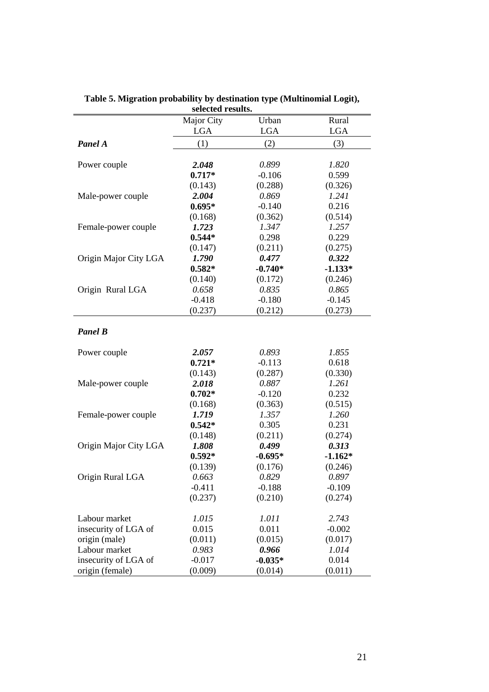|                       | selected results. |            |            |
|-----------------------|-------------------|------------|------------|
|                       | Major City        | Urban      | Rural      |
|                       | <b>LGA</b>        | <b>LGA</b> | <b>LGA</b> |
| Panel A               | (1)               | (2)        | (3)        |
| Power couple          | 2.048             | 0.899      | 1.820      |
|                       | $0.717*$          | $-0.106$   | 0.599      |
|                       | (0.143)           | (0.288)    | (0.326)    |
| Male-power couple     | 2.004             | 0.869      | 1.241      |
|                       | $0.695*$          | $-0.140$   | 0.216      |
|                       | (0.168)           | (0.362)    | (0.514)    |
| Female-power couple   | 1.723             | 1.347      | 1.257      |
|                       | $0.544*$          | 0.298      | 0.229      |
|                       | (0.147)           | (0.211)    | (0.275)    |
| Origin Major City LGA | 1.790             | 0.477      | 0.322      |
|                       | $0.582*$          | $-0.740*$  | $-1.133*$  |
|                       | (0.140)           | (0.172)    | (0.246)    |
| Origin Rural LGA      | 0.658             | 0.835      | 0.865      |
|                       | $-0.418$          | $-0.180$   | $-0.145$   |
|                       | (0.237)           | (0.212)    | (0.273)    |
| <b>Panel B</b>        |                   |            |            |
| Power couple          | 2.057             | 0.893      | 1.855      |
|                       | $0.721*$          | $-0.113$   | 0.618      |
|                       | (0.143)           | (0.287)    | (0.330)    |
| Male-power couple     | 2.018             | 0.887      | 1.261      |
|                       | $0.702*$          | $-0.120$   | 0.232      |
|                       | (0.168)           | (0.363)    | (0.515)    |
| Female-power couple   | 1.719             | 1.357      | 1.260      |
|                       | $0.542*$          | 0.305      | 0.231      |
|                       | (0.148)           | (0.211)    | (0.274)    |
| Origin Major City LGA | 1.808             | 0.499      | 0.313      |
|                       | $0.592*$          | $-0.695*$  | $-1.162*$  |
|                       | (0.139)           | (0.176)    | (0.246)    |
| Origin Rural LGA      | 0.663             | 0.829      | 0.897      |
|                       | $-0.411$          | $-0.188$   | $-0.109$   |
|                       | (0.237)           | (0.210)    | (0.274)    |
| Labour market         | 1.015             | 1.011      | 2.743      |
| insecurity of LGA of  | 0.015             | 0.011      | $-0.002$   |
| origin (male)         | (0.011)           | (0.015)    | (0.017)    |
| Labour market         | 0.983             | 0.966      | 1.014      |
| insecurity of LGA of  | $-0.017$          | $-0.035*$  | 0.014      |
| origin (female)       | (0.009)           | (0.014)    | (0.011)    |

**Table 5. Migration probability by destination type (Multinomial Logit),**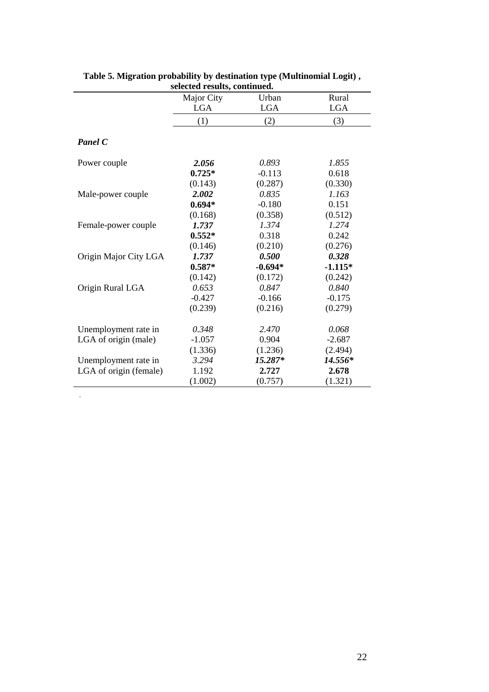|                        | Major City | Urban      | Rural      |
|------------------------|------------|------------|------------|
|                        | <b>LGA</b> | <b>LGA</b> | <b>LGA</b> |
|                        | (1)        | (2)        | (3)        |
| <b>Panel C</b>         |            |            |            |
| Power couple           | 2.056      | 0.893      | 1.855      |
|                        | $0.725*$   | $-0.113$   | 0.618      |
|                        | (0.143)    | (0.287)    | (0.330)    |
| Male-power couple      | 2.002      | 0.835      | 1.163      |
|                        | $0.694*$   | $-0.180$   | 0.151      |
|                        | (0.168)    | (0.358)    | (0.512)    |
| Female-power couple    | 1.737      | 1.374      | 1.274      |
|                        | $0.552*$   | 0.318      | 0.242      |
|                        | (0.146)    | (0.210)    | (0.276)    |
| Origin Major City LGA  | 1.737      | 0.500      | 0.328      |
|                        | $0.587*$   | $-0.694*$  | $-1.115*$  |
|                        | (0.142)    | (0.172)    | (0.242)    |
| Origin Rural LGA       | 0.653      | 0.847      | 0.840      |
|                        | $-0.427$   | $-0.166$   | $-0.175$   |
|                        | (0.239)    | (0.216)    | (0.279)    |
| Unemployment rate in   | 0.348      | 2.470      | 0.068      |
| LGA of origin (male)   | $-1.057$   | 0.904      | $-2.687$   |
|                        | (1.336)    | (1.236)    | (2.494)    |
| Unemployment rate in   | 3.294      | 15.287*    | 14.556*    |
| LGA of origin (female) | 1.192      | 2.727      | 2.678      |
|                        | (1.002)    | (0.757)    | (1.321)    |

*.*

**Table 5. Migration probability by destination type (Multinomial Logit) , selected results, continued.**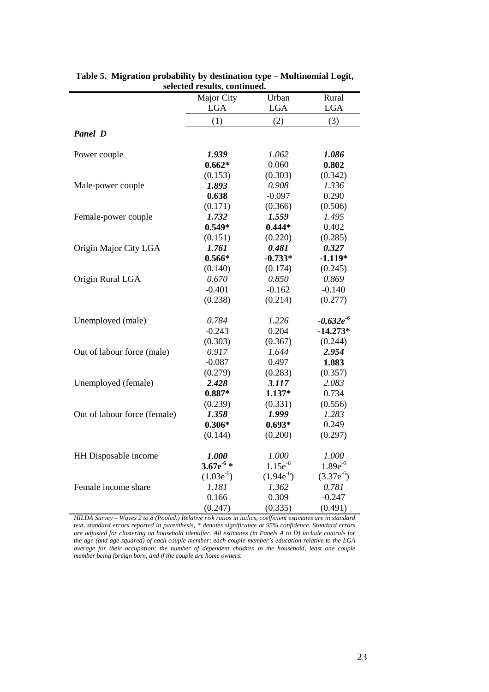|                              | selecteu results, continueu.<br>Major City | Urban          | Rural          |
|------------------------------|--------------------------------------------|----------------|----------------|
|                              | $_{\rm LGA}$                               | <b>LGA</b>     | <b>LGA</b>     |
|                              | (1)                                        | (2)            | (3)            |
| <b>Panel D</b>               |                                            |                |                |
| Power couple                 | 1.939                                      | 1.062          | 1.086          |
|                              | $0.662*$                                   | 0.060          | 0.802          |
|                              | (0.153)                                    | (0.303)        | (0.342)        |
| Male-power couple            | 1.893                                      | 0.908          | 1.336          |
|                              | 0.638                                      | $-0.097$       | 0.290          |
|                              | (0.171)                                    | (0.366)        | (0.506)        |
| Female-power couple          | 1.732                                      | 1.559          | 1.495          |
|                              | $0.549*$                                   | $0.444*$       | 0.402          |
|                              | (0.151)                                    | (0.220)        | (0.285)        |
| Origin Major City LGA        | 1.761                                      | 0.481          | 0.327          |
|                              | $0.566*$                                   | $-0.733*$      | $-1.119*$      |
|                              | (0.140)                                    | (0.174)        | (0.245)        |
| Origin Rural LGA             | 0.670                                      | 0.850          | 0.869          |
|                              | $-0.401$                                   | $-0.162$       | $-0.140$       |
|                              | (0.238)                                    | (0.214)        | (0.277)        |
| Unemployed (male)            | 0.784                                      | 1.226          | $-0.632e^{-6}$ |
|                              | $-0.243$                                   | 0.204          | $-14.273*$     |
|                              | (0.303)                                    | (0.367)        | (0.244)        |
| Out of labour force (male)   | 0.917                                      | 1.644          | 2.954          |
|                              | $-0.087$                                   | 0.497          | 1.083          |
|                              | (0.279)                                    | (0.283)        | (0.357)        |
| Unemployed (female)          | 2.428                                      | 3.117          | 2.083          |
|                              | $0.887*$                                   | $1.137*$       | 0.734          |
|                              | (0.239)                                    | (0.331)        | (0.556)        |
| Out of labour force (female) | 1.358                                      | 1.999          | 1.283          |
|                              | $0.306*$                                   | $0.693*$       | 0.249          |
|                              | (0.144)                                    | (0.200)        | (0.297)        |
| HH Disposable income         | 1.000                                      | 1.000          | 1.000          |
|                              | $3.67e^{-6}$ *                             | $1.15e^{-6}$   | $1.89e^{-6}$   |
|                              | $(1.03e^{-6})$                             | $(1.94e^{-6})$ | $(3.37e^{-6})$ |
| Female income share          | 1.181                                      | 1.362          | 0.781          |
|                              | 0.166                                      | 0.309          | $-0.247$       |
|                              | (0.247)                                    | (0.335)        | (0.491)        |

| Table 5. Migration probability by destination type – Multinomial Logit, |
|-------------------------------------------------------------------------|
| selected results, continued.                                            |

*HILDA Survey – Waves 2 to 8 (Pooled.) Relative risk ratios in italics, coefficient estimates are in standard text, standard errors reported in parenthesis, \* denotes significance at 95% confidence. Standard errors are adjusted for clustering on household identifier. All estimates (in Panels A to D) include controls for the age (and age squared) of each couple member; each couple member's education relative to the LGA average for their occupation; the number of dependent children in the household, least one couple member being foreign born, and if the couple are home owners.*